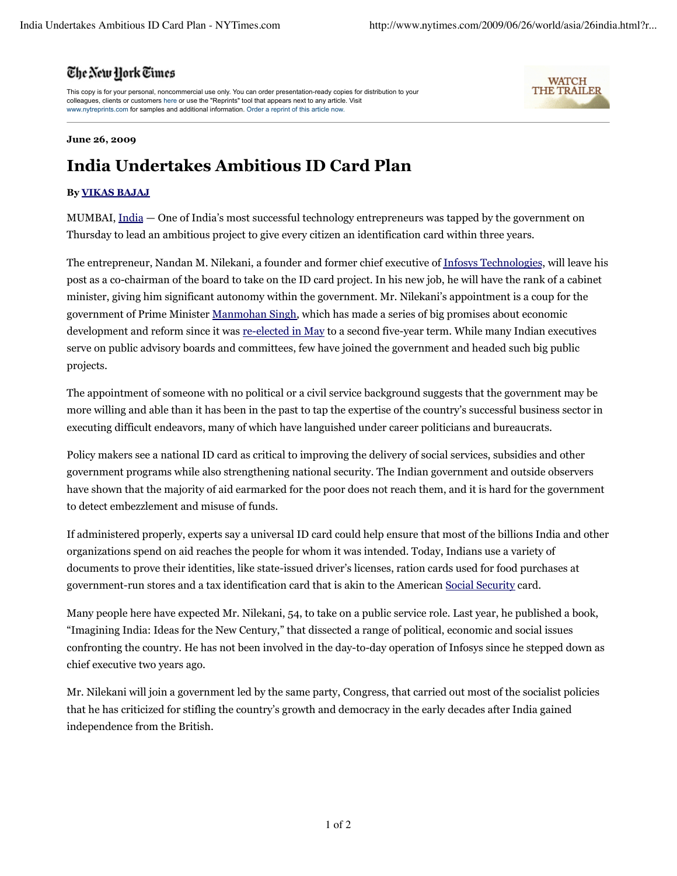## The New York Times

This copy is for your personal, noncommercial use only. You can order presentation-ready copies for distribution to your colleagues, clients or customers here or use the "Reprints" tool that appears next to any article. Visit www.nytreprints.com for samples and additional information. Order a reprint of this article now.



## **June 26, 2009**

## **India Undertakes Ambitious ID Card Plan**

## **By VIKAS BAJAJ**

MUMBAI, India — One of India's most successful technology entrepreneurs was tapped by the government on Thursday to lead an ambitious project to give every citizen an identification card within three years.

The entrepreneur, Nandan M. Nilekani, a founder and former chief executive of Infosys Technologies, will leave his post as a co-chairman of the board to take on the ID card project. In his new job, he will have the rank of a cabinet minister, giving him significant autonomy within the government. Mr. Nilekani's appointment is a coup for the government of Prime Minister Manmohan Singh, which has made a series of big promises about economic development and reform since it was re-elected in May to a second five-year term. While many Indian executives serve on public advisory boards and committees, few have joined the government and headed such big public projects.

The appointment of someone with no political or a civil service background suggests that the government may be more willing and able than it has been in the past to tap the expertise of the country's successful business sector in executing difficult endeavors, many of which have languished under career politicians and bureaucrats.

Policy makers see a national ID card as critical to improving the delivery of social services, subsidies and other government programs while also strengthening national security. The Indian government and outside observers have shown that the majority of aid earmarked for the poor does not reach them, and it is hard for the government to detect embezzlement and misuse of funds.

If administered properly, experts say a universal ID card could help ensure that most of the billions India and other organizations spend on aid reaches the people for whom it was intended. Today, Indians use a variety of documents to prove their identities, like state-issued driver's licenses, ration cards used for food purchases at government-run stores and a tax identification card that is akin to the American Social Security card.

Many people here have expected Mr. Nilekani, 54, to take on a public service role. Last year, he published a book, "Imagining India: Ideas for the New Century," that dissected a range of political, economic and social issues confronting the country. He has not been involved in the day-to-day operation of Infosys since he stepped down as chief executive two years ago.

Mr. Nilekani will join a government led by the same party, Congress, that carried out most of the socialist policies that he has criticized for stifling the country's growth and democracy in the early decades after India gained independence from the British.